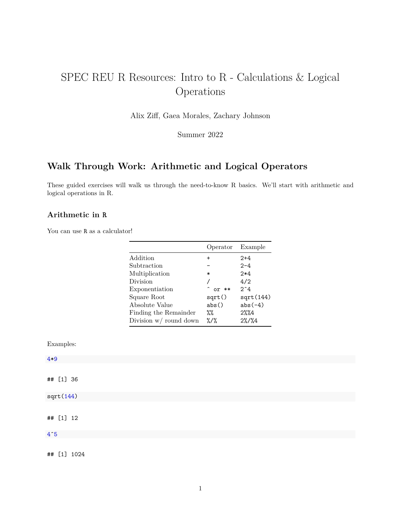# SPEC REU R Resources: Intro to R - Calculations & Logical Operations

Alix Ziff, Gaea Morales, Zachary Johnson

Summer 2022

# **Walk Through Work: Arithmetic and Logical Operators**

These guided exercises will walk us through the need-to-know R basics. We'll start with arithmetic and logical operations in R.

# **Arithmetic in R**

You can use R as a calculator!

| Operator                      | Example      |
|-------------------------------|--------------|
| $\ddot{}$                     | $2+4$        |
|                               | $2 - 4$      |
| $\ast$                        | $2*4$        |
|                               | 4/2          |
| ^ or **                       | $2^{\circ}4$ |
| sqrt()                        | sqrt(144)    |
| abs()                         | $abs(-4)$    |
| %%                            | $2\%$ %4     |
| $\frac{2}{3}$ / $\frac{2}{3}$ | $2\%/$ %4    |
|                               |              |

Examples:

| $4*9$        |  |
|--------------|--|
|              |  |
| ## [1] 36    |  |
| sqrt(144)    |  |
|              |  |
| ## [1] 12    |  |
| $4^{\circ}5$ |  |
|              |  |

## [1] 1024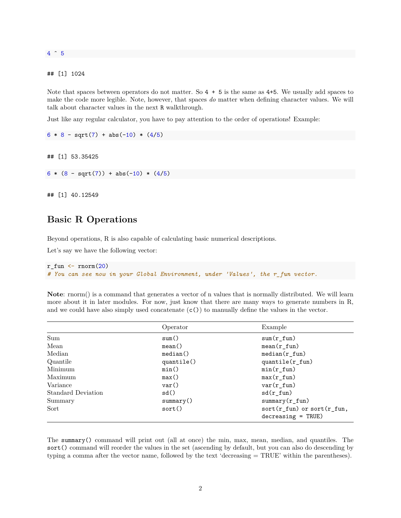4 ˆ 5

## [1] 1024

Note that spaces between operators do not matter. So 4 + 5 is the same as 4+5. We usually add spaces to make the code more legible. Note, however, that spaces *do* matter when defining character values. We will talk about character values in the next R walkthrough.

Just like any regular calculator, you have to pay attention to the order of operations! Example:

```
6 * 8 - sqrt(7) + abs(-10) * (4/5)
```
## [1] 53.35425

 $6 * (8 - sqrt(7)) + abs(-10) * (4/5)$ 

## [1] 40.12549

# **Basic R Operations**

Beyond operations, R is also capable of calculating basic numerical descriptions.

Let's say we have the following vector:

```
r_fun \leftarrow rnorm(20)# You can see now in your Global Environment, under 'Values', the r_fun vector.
```
**Note**: rnorm() is a command that generates a vector of n values that is normally distributed. We will learn more about it in later modules. For now, just know that there are many ways to generate numbers in R, and we could have also simply used concatenate  $(c()$  to manually define the values in the vector.

|                    | Operator   | Example                                                  |
|--------------------|------------|----------------------------------------------------------|
| Sum                | sum()      | $sum(r_fun)$                                             |
| Mean               | mean()     | $mean(r_fun)$                                            |
| Median             | median()   | $median(r_fun)$                                          |
| Quantile           | quantile() | $quantile(r_fun)$                                        |
| Minimum            | min()      | $min(r_fun)$                                             |
| Maximum            | max()      | $max(r_fun)$                                             |
| Variance           | var()      | $var(r_fun)$                                             |
| Standard Deviation | sd()       | $sd(r_fun)$                                              |
| Summary            | summary()  | $summary(r_fun)$                                         |
| Sort               | sort()     | $sort(r_fun)$ or $sort(r_fun)$ ,<br>$decreasing = TRUE)$ |

The summary() command will print out (all at once) the min, max, mean, median, and quantiles. The sort() command will reorder the values in the set (ascending by default, but you can also do descending by typing a comma after the vector name, followed by the text 'decreasing = TRUE' within the parentheses).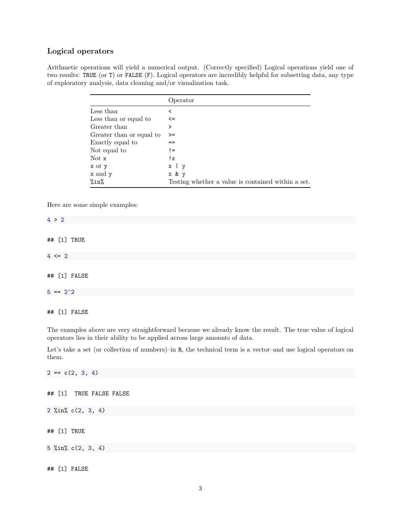# **Logical operators**

Arithmetic operations will yield a numerical output. (Correctly specified) Logical operations yield one of two results: TRUE (or T) or FALSE (F). Logical operators are incredibly helpful for subsetting data, any type of exploratory analysis, data cleaning and/or visualization task.

|                          | Operator                                           |
|--------------------------|----------------------------------------------------|
| Less than                | <                                                  |
| Less than or equal to    | $\leq$                                             |
| Greater than             | >                                                  |
| Greater than or equal to | $>=$                                               |
| Exactly equal to         | ==                                                 |
| Not equal to             | $!=$                                               |
| Not x                    | !x                                                 |
| x or y                   | $x \mid y$                                         |
| x and y                  | x & y                                              |
| %in%                     | Testing whether a value is contained within a set. |

Here are some simple examples:

| 4 > 2      |              |  |
|------------|--------------|--|
|            |              |  |
|            | ## [1] TRUE  |  |
| $4 \leq 2$ |              |  |
|            |              |  |
|            | ## [1] FALSE |  |
| $5 == 2^2$ |              |  |
|            |              |  |
|            | ## [1] FALSE |  |

The examples above are very straightforward because we already know the result. The true value of logical operators lies in their ability to be applied across large amounts of data.

Let's take a set (or collection of numbers)–in R, the technical term is a vector–and use logical operators on them.

 $2 = c(2, 3, 4)$ ## [1] TRUE FALSE FALSE 2 %in% c(2, 3, 4) ## [1] TRUE 5 %in% c(2, 3, 4) ## [1] FALSE